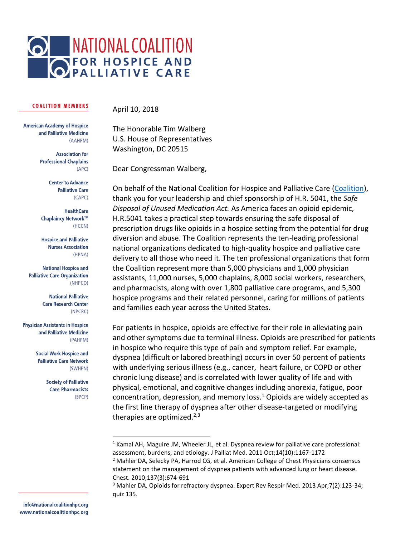

## **COALITION MEMBERS**

April 10, 2018

**American Academy of Hospice** and Palliative Medicine (AAHPM)

> **Association for Professional Chaplains**  $(APC)$

> > **Center to Advance Palliative Care** (CAPC)

**HealthCare** Chaplaincy Network™ (HCCN)

**Hospice and Palliative Nurses Association** (HPNA)

**National Hospice and Palliative Care Organization** (NHPCO)

> **National Palliative Care Research Center** (NPCRC)

**Physician Assistants in Hospice** and Palliative Medicine (PAHPM)

> **Social Work Hospice and Palliative Care Network** (SWHPN)

> > **Society of Palliative Care Pharmacists** (SPCP)

> > > $\overline{a}$

The Honorable Tim Walberg U.S. House of Representatives Washington, DC 20515

Dear Congressman Walberg,

On behalf of the National Coalition for Hospice and Palliative Care [\(Coalition\)](http://www.nationalcoalitionhpc.org/), thank you for your leadership and chief sponsorship of H.R. 5041, the *Safe Disposal of Unused Medication Act.* As America faces an opioid epidemic, H.R.5041 takes a practical step towards ensuring the safe disposal of prescription drugs like opioids in a hospice setting from the potential for drug diversion and abuse. The Coalition represents the ten-leading professional national organizations dedicated to high-quality hospice and palliative care delivery to all those who need it. The ten professional organizations that form the Coalition represent more than 5,000 physicians and 1,000 physician assistants, 11,000 nurses, 5,000 chaplains, 8,000 social workers, researchers, and pharmacists, along with over 1,800 palliative care programs, and 5,300 hospice programs and their related personnel, caring for millions of patients and families each year across the United States.

For patients in hospice, opioids are effective for their role in alleviating pain and other symptoms due to terminal illness. Opioids are prescribed for patients in hospice who require this type of pain and symptom relief. For example, dyspnea (difficult or labored breathing) occurs in over 50 percent of patients with underlying serious illness (e.g., cancer, heart failure, or COPD or other chronic lung disease) and is correlated with lower quality of life and with physical, emotional, and cognitive changes including anorexia, fatigue, poor concentration, depression, and memory loss.<sup>1</sup> Opioids are widely accepted as the first line therapy of dyspnea after other disease-targeted or modifying therapies are optimized. $2,3$ 

<sup>1</sup> Kamal AH, Maguire JM, Wheeler JL, et al. Dyspnea review for palliative care professional: assessment, burdens, and etiology. J Palliat Med. 2011 Oct;14(10):1167-1172

<sup>&</sup>lt;sup>2</sup> Mahler DA, Selecky PA, Harrod CG, et al. American College of Chest Physicians consensus statement on the management of dyspnea patients with advanced lung or heart disease. Chest. 2010;137(3):674-691

<sup>3</sup> Mahler DA. Opioids for refractory dyspnea. Expert Rev Respir Med. 2013 Apr;7(2):123-34; quiz 135.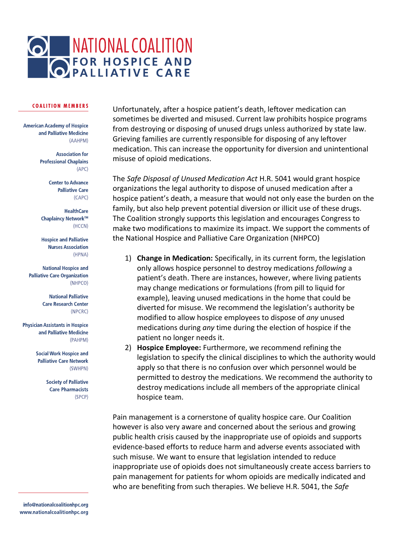

## **COALITION MEMBERS**

**American Academy of Hospice** and Palliative Medicine (AAHPM)

> **Association for Professional Chaplains**  $(APC)$

> > **Center to Advance Palliative Care**  $(CAPC)$

**HealthCare** Chaplaincy Network™ (HCCN)

**Hospice and Palliative Nurses Association** (HPNA)

**National Hospice and Palliative Care Organization** (NHPCO)

> **National Palliative Care Research Center** (NPCRC)

**Physician Assistants in Hospice** and Palliative Medicine (PAHPM)

> **Social Work Hospice and Palliative Care Network** (SWHPN)

> > **Society of Palliative Care Pharmacists** (SPCP)

info@nationalcoalitionhpc.org www.nationalcoalitionhpc.org

Unfortunately, after a hospice patient's death, leftover medication can sometimes be diverted and misused. Current law prohibits hospice programs from destroying or disposing of unused drugs unless authorized by state law. Grieving families are currently responsible for disposing of any leftover medication. This can increase the opportunity for diversion and unintentional misuse of opioid medications.

The *Safe Disposal of Unused Medication Act* H.R. 5041 would grant hospice organizations the legal authority to dispose of unused medication after a hospice patient's death, a measure that would not only ease the burden on the family, but also help prevent potential diversion or illicit use of these drugs. The Coalition strongly supports this legislation and encourages Congress to make two modifications to maximize its impact. We support the comments of the National Hospice and Palliative Care Organization (NHPCO)

- 1) **Change in Medication:** Specifically, in its current form, the legislation only allows hospice personnel to destroy medications *following* a patient's death. There are instances, however, where living patients may change medications or formulations (from pill to liquid for example), leaving unused medications in the home that could be diverted for misuse. We recommend the legislation's authority be modified to allow hospice employees to dispose of *any* unused medications during *any* time during the election of hospice if the patient no longer needs it.
- 2) **Hospice Employee:** Furthermore, we recommend refining the legislation to specify the clinical disciplines to which the authority would apply so that there is no confusion over which personnel would be permitted to destroy the medications. We recommend the authority to destroy medications include all members of the appropriate clinical hospice team.

Pain management is a cornerstone of quality hospice care. Our Coalition however is also very aware and concerned about the serious and growing public health crisis caused by the inappropriate use of opioids and supports evidence-based efforts to reduce harm and adverse events associated with such misuse. We want to ensure that legislation intended to reduce inappropriate use of opioids does not simultaneously create access barriers to pain management for patients for whom opioids are medically indicated and who are benefiting from such therapies. We believe H.R. 5041, the *Safe*